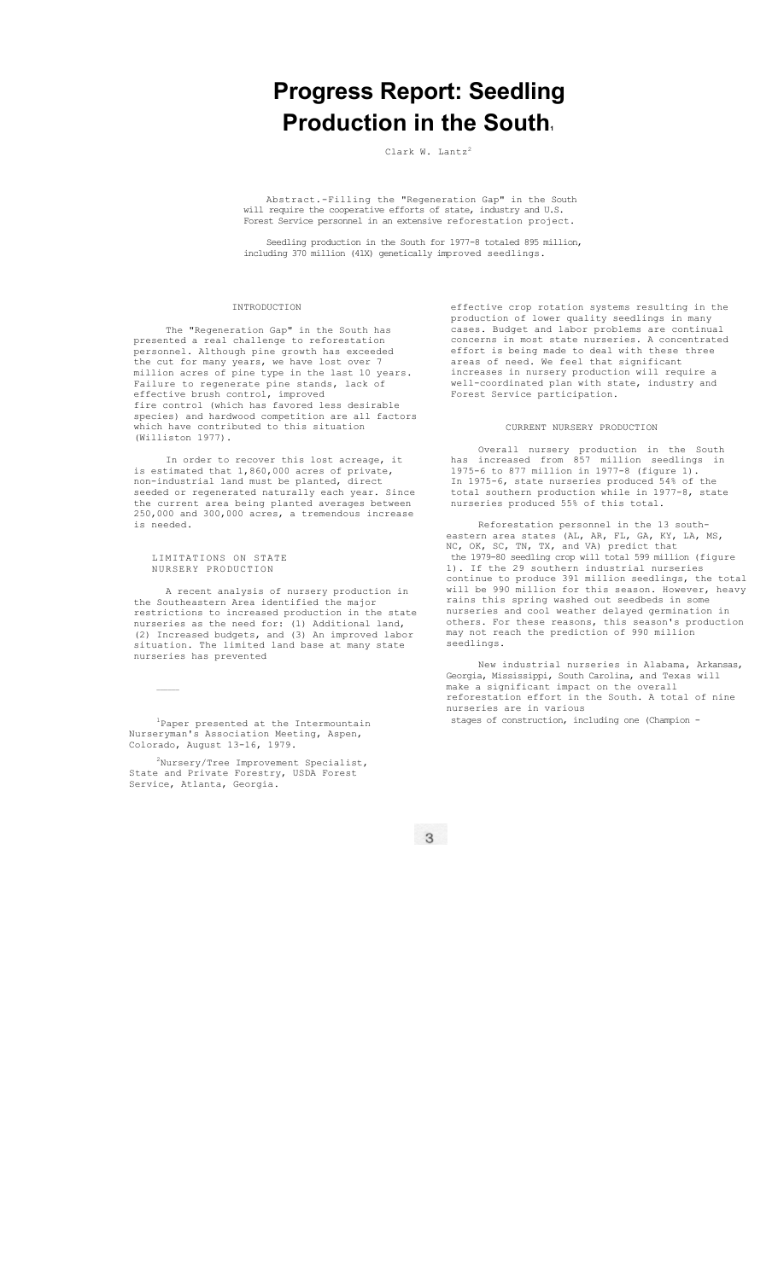# **Progress Report: Seedling Production in the South.**

Clark W. Lantz<sup>2</sup>

Abstract.-Filling the "Regeneration Gap" in the South will require the cooperative efforts of state, industry and U.S. Forest Service personnel in an extensive reforestation project.

Seedling production in the South for 1977-8 totaled 895 million, including 370 million (41X) genetically improved seedlings.

## INTRODUCTION

The "Regeneration Gap" in the South has presented a real challenge to reforestation personnel. Although pine growth has exceeded the cut for many years, we have lost over 7 million acres of pine type in the last 10 years. Failure to regenerate pine stands, lack of effective brush control, improved fire control (which has favored less desirable species) and hardwood competition are all factors which have contributed to this situation (Williston 1977).

In order to recover this lost acreage, it is estimated that 1,860,000 acres of private, non-industrial land must be planted, direct seeded or regenerated naturally each year. Since the current area being planted averages between 250,000 and 300,000 acres, a tremendous increase is needed.

#### LIMITATIONS ON STATE NURSERY PRODUCTION

 $\mathcal{L}_\text{max}$ 

A recent analysis of nursery production in the Southeastern Area identified the major restrictions to increased production in the state nurseries as the need for: (1) Additional land, (2) Increased budgets, and (3) An improved labor situation. The limited land base at many state nurseries has prevented

1 Paper presented at the Intermountain Nurseryman's Association Meeting, Aspen, Colorado, August 13-16, 1979.

 $^{2}$ Nursery/Tree Improvement Specialist, State and Private Forestry, USDA Forest Service, Atlanta, Georgia.

effective crop rotation systems resulting in the production of lower quality seedlings in many cases. Budget and labor problems are continual concerns in most state nurseries. A concentrated effort is being made to deal with these three areas of need. We feel that significant increases in nursery production will require a well-coordinated plan with state, industry and Forest Service participation.

## CURRENT NURSERY PRODUCTION

Overall nursery production in the South has increased from 857 million seedlings in 1975-6 to 877 million in 1977-8 (figure 1). In 1975-6, state nurseries produced 54% of the total southern production while in 1977-8, state nurseries produced 55% of this total.

Reforestation personnel in the 13 southeastern area states (AL, AR, FL, GA, KY, LA, MS, NC, OK, SC, TN, TX, and VA) predict that the 1979-80 seedling crop will total 599 million (figure 1). If the 29 southern industrial nurseries continue to produce 391 million seedlings, the total will be 990 million for this season. However, heavy rains this spring washed out seedbeds in some nurseries and cool weather delayed germination in others. For these reasons, this season's production may not reach the prediction of 990 million seedlings.

New industrial nurseries in Alabama, Arkansas, Georgia, Mississippi, South Carolina, and Texas will make a significant impact on the overall reforestation effort in the South. A total of nine nurseries are in various stages of construction, including one (Champion -

 $\overline{3}$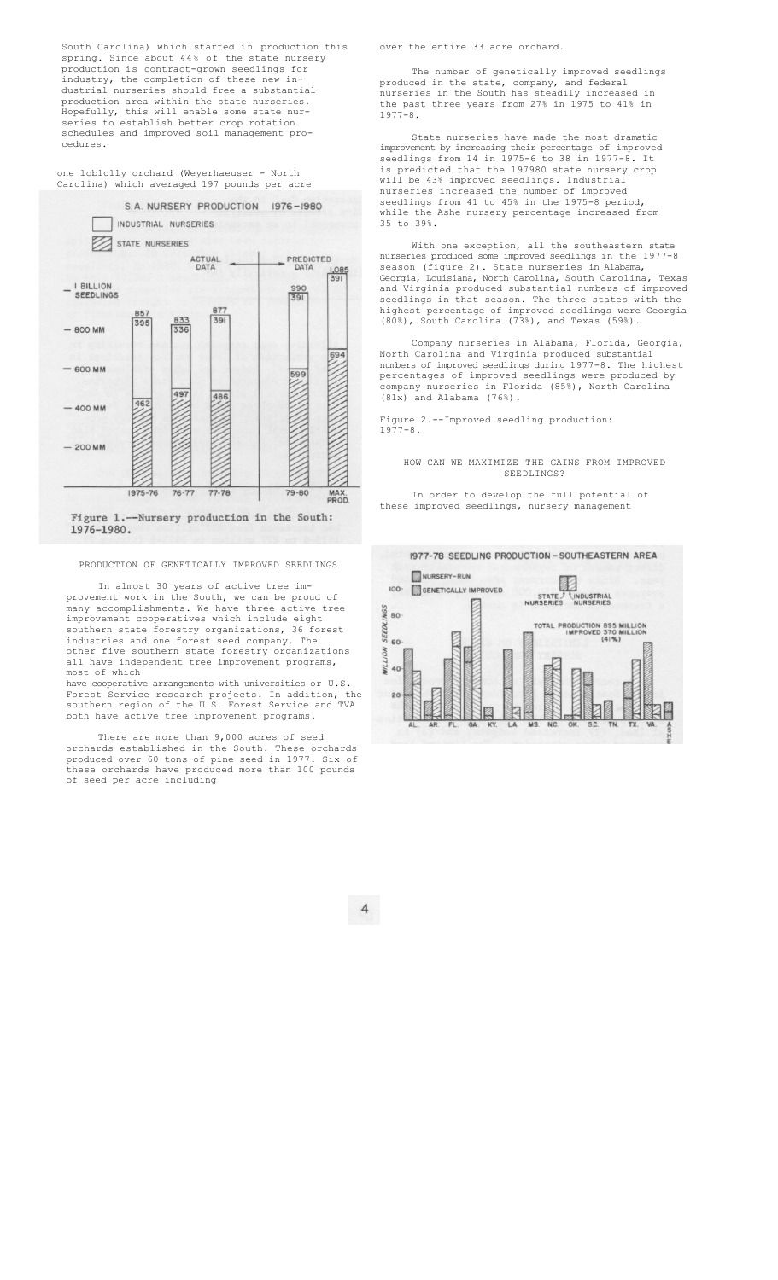South Carolina) which started in production this spring. Since about 44% of the state nursery production is contract-grown seedlings for industry, the completion of these new industrial nurseries should free a substantial production area within the state nurseries. Hopefully, this will enable some state nurseries to establish better crop rotation schedules and improved soil management procedures.

one loblolly orchard (Weyerhaeuser - North Carolina) which averaged 197 pounds per acre



Figure 1.--Nursery production in the South: 1976-1980.

## PRODUCTION OF GENETICALLY IMPROVED SEEDLINGS

In almost 30 years of active tree improvement work in the South, we can be proud of many accomplishments. We have three active tree improvement cooperatives which include eight southern state forestry organizations, 36 forest industries and one forest seed company. The other five southern state forestry organizations all have independent tree improvement programs, most of which

have cooperative arrangements with universities or U.S. Forest Service research projects. In addition, the southern region of the U.S. Forest Service and TVA both have active tree improvement programs.

There are more than 9,000 acres of seed orchards established in the South. These orchards produced over 60 tons of pine seed in 1977. Six of these orchards have produced more than 100 pounds of seed per acre including

over the entire 33 acre orchard.

The number of genetically improved seedlings produced in the state, company, and federal nurseries in the South has steadily increased in the past three years from 27% in 1975 to 41% in 1977-8.

State nurseries have made the most dramatic improvement by increasing their percentage of improved seedlings from 14 in 1975-6 to 38 in 1977-8. It is predicted that the 197980 state nursery crop will be 43% improved seedlings. Industrial nurseries increased the number of improved seedlings from 41 to 45% in the 1975-8 period, while the Ashe nursery percentage increased from 35 to 39%.

With one exception, all the southeastern state nurseries produced some improved seedlings in the 1977-8 season (figure 2). State nurseries in Alabama, Georgia, Louisiana, North Carolina, South Carolina, Texas and Virginia produced substantial numbers of improved seedlings in that season. The three states with the highest percentage of improved seedlings were Georgia (80%), South Carolina (73%), and Texas (59%).

Company nurseries in Alabama, Florida, Georgia, North Carolina and Virginia produced substantial numbers of improved seedlings during 1977-8. The highest percentages of improved seedlings were produced by company nurseries in Florida (85%), North Carolina (81x) and Alabama (76%).

Figure 2.--Improved seedling production: 1977-8.

HOW CAN WE MAXIMIZE THE GAINS FROM IMPROVED SEEDLINGS?

In order to develop the full potential of these improved seedlings, nursery management



 $\overline{4}$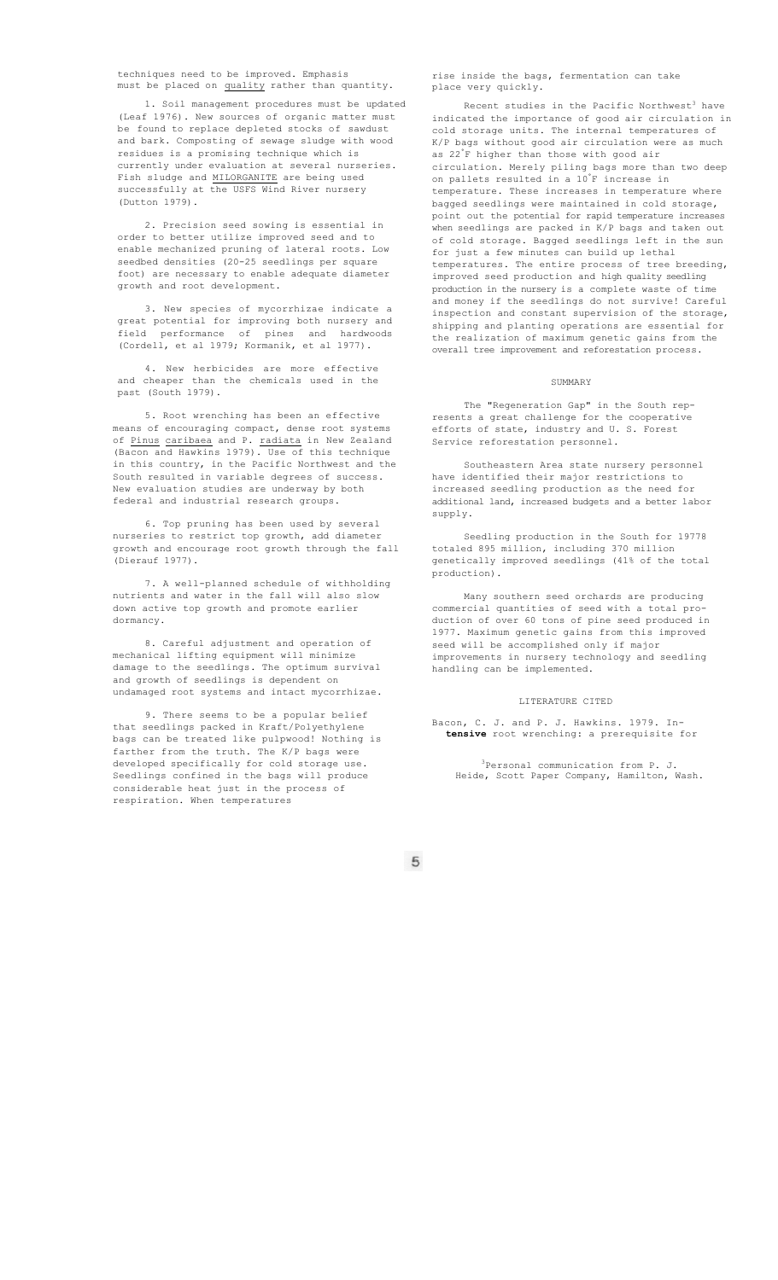techniques need to be improved. Emphasis must be placed on quality rather than quantity.

1. Soil management procedures must be updated (Leaf 1976). New sources of organic matter must be found to replace depleted stocks of sawdust and bark. Composting of sewage sludge with wood residues is a promising technique which is currently under evaluation at several nurseries. Fish sludge and MILORGANITE are being used successfully at the USFS Wind River nursery (Dutton 1979).

2. Precision seed sowing is essential in order to better utilize improved seed and to enable mechanized pruning of lateral roots. Low seedbed densities (20-25 seedlings per square foot) are necessary to enable adequate diameter growth and root development.

3. New species of mycorrhizae indicate a great potential for improving both nursery and field performance of pines and hardwoods (Cordell, et al 1979; Kormanik, et al 1977).

4. New herbicides are more effective and cheaper than the chemicals used in the past (South 1979).

5. Root wrenching has been an effective means of encouraging compact, dense root systems of <u>Pinus caribaea</u> and P. <u>radiata</u> in New Zealand (Bacon and Hawkins 1979). Use of this technique in this country, in the Pacific Northwest and the South resulted in variable degrees of success. New evaluation studies are underway by both federal and industrial research groups.

6. Top pruning has been used by several nurseries to restrict top growth, add diameter growth and encourage root growth through the fall (Dierauf 1977).

7. A well-planned schedule of withholding nutrients and water in the fall will also slow down active top growth and promote earlier dormancy.

8. Careful adjustment and operation of mechanical lifting equipment will minimize damage to the seedlings. The optimum survival and growth of seedlings is dependent on undamaged root systems and intact mycorrhizae.

9. There seems to be a popular belief that seedlings packed in Kraft/Polyethylene bags can be treated like pulpwood! Nothing is farther from the truth. The K/P bags were developed specifically for cold storage use. Seedlings confined in the bags will produce considerable heat just in the process of respiration. When temperatures

rise inside the bags, fermentation can take place very quickly.

Recent studies in the Pacific Northwest<sup>3</sup> have indicated the importance of good air circulation in cold storage units. The internal temperatures of K/P bags without good air circulation were as much as 22° F higher than those with good air circulation. Merely piling bags more than two deep on pallets resulted in a 10° F increase in temperature. These increases in temperature where bagged seedlings were maintained in cold storage, point out the potential for rapid temperature increases when seedlings are packed in K/P bags and taken out of cold storage. Bagged seedlings left in the sun for just a few minutes can build up lethal temperatures. The entire process of tree breeding, improved seed production and high quality seedling production in the nursery is a complete waste of time and money if the seedlings do not survive! Careful inspection and constant supervision of the storage, shipping and planting operations are essential for the realization of maximum genetic gains from the overall tree improvement and reforestation process.

#### SUMMARY

The "Regeneration Gap" in the South represents a great challenge for the cooperative efforts of state, industry and U. S. Forest Service reforestation personnel.

Southeastern Area state nursery personnel have identified their major restrictions to increased seedling production as the need for additional land, increased budgets and a better labor supply.

Seedling production in the South for 19778 totaled 895 million, including 370 million genetically improved seedlings (41% of the total production).

Many southern seed orchards are producing commercial quantities of seed with a total production of over 60 tons of pine seed produced in 1977. Maximum genetic gains from this improved seed will be accomplished only if major improvements in nursery technology and seedling handling can be implemented.

## LITERATURE CITED

Bacon, C. J. and P. J. Hawkins. 1979. In**tensive** root wrenching: a prerequisite for

3Personal communication from P. J. Heide, Scott Paper Company, Hamilton, Wash.